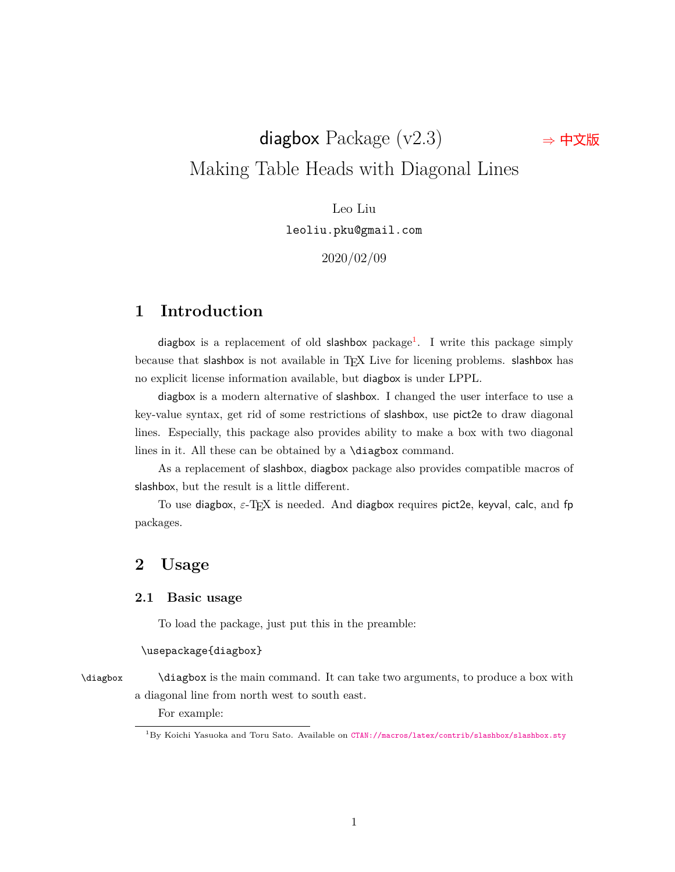# <span id="page-0-2"></span><span id="page-0-1"></span>diagbox Package (v2.3) *<sup>⇒</sup>* [中文版](#page-6-0) Making Table Heads with Diagonal Lines

Leo Liu leoliu.pku@gmail.com

2020/02/09

### **1 Introduction**

diagbox is a replacement of old slashbox package<sup>[1](#page-0-0)</sup>. I write this package simply because that slashbox is not available in T<sub>EX</sub>. Live for licening problems. slashbox has no explicit license information available, but diagbox is under LPPL.

diagbox is a modern alternative of slashbox. I changed the user interface to use a key-value syntax, get rid of some restrictions of slashbox, use pict2e to draw diagonal lines. Especially, this package also provides ability to make a box with two diagonal lines in it. All these can be obtained by a **\diagbox** command.

As a replacement of slashbox, diagbox package also provides compatible macros of slashbox, but the result is a little different.

To use diagbox, ε-T<sub>E</sub>X is needed. And diagbox requires pict2e, keyval, calc, and fp packages.

## **2 Usage**

#### **2.1 Basic usage**

To load the package, just put this in the preamble:

#### <span id="page-0-3"></span>\usepackage{diagbox}

\diagbox \diagbox is the main command. It can take two arguments, to produce a box with a diagonal line from north west to south east.

For example:

<span id="page-0-0"></span> $1By$  Koichi Yasuoka and Toru Sato. Available on <CTAN://macros/latex/contrib/slashbox/slashbox.sty>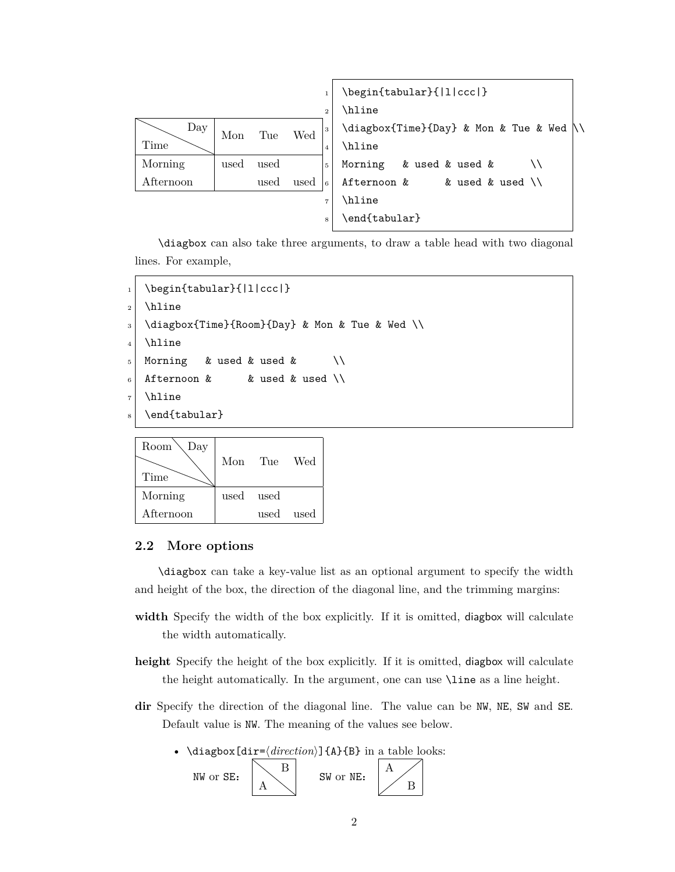

\diagbox can also take three arguments, to draw a table head with two diagonal lines. For example,

```
\begin{tabular}{|1|ccc|}
_2 \hline
3 \diagbox{Time}{Room}{Day} & Mon & Tue & Wed \\
  \hline
5 Morning & used & used & \\
  Afternoon \& \& used \& used \&\hline
  \end{tabular}
```


#### **2.2 More options**

\diagbox can take a key-value list as an optional argument to specify the width and height of the box, the direction of the diagonal line, and the trimming margins:

- width Specify the width of the box explicitly. If it is omitted, diagbox will calculate the width automatically.
- height Specify the height of the box explicitly. If it is omitted, diagbox will calculate the height automatically. In the argument, one can use \line as a line height.
- **dir** Specify the direction of the diagonal line. The value can be NW, NE, SW and SE. Default value is NW. The meaning of the values see below.

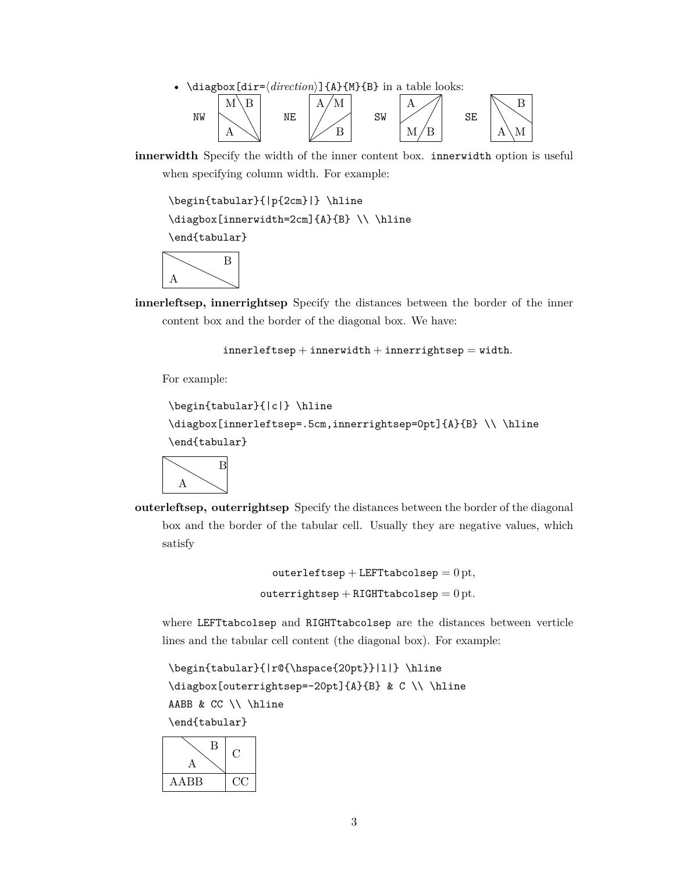

**innerwidth** Specify the width of the inner content box. innerwidth option is useful when specifying column width. For example:

```
\begin{tabular}{|p{2cm}|} \hline
\diagbox[innerwidth=2cm]{A}{B} \\ \hline
\end{tabular}
```


**innerleftsep, innerrightsep** Specify the distances between the border of the inner content box and the border of the diagonal box. We have:

```
innerleftsep + innerwidth + innerrightsep = width.
```
For example:

```
\begin{tabular}{|c|} \hline
```

```
\diagbox[innerleftsep=.5cm,innerrightsep=0pt]{A}{B} \\ \hline
\end{tabular}
```


**outerleftsep, outerrightsep** Specify the distances between the border of the diagonal box and the border of the tabular cell. Usually they are negative values, which satisfy

> $outerlet$ sep + LEFTtabcolsep =  $0$  pt,  $outer right$ sep + RIGHTtabcolsep =  $0$  pt.

where LEFTtabcolsep and RIGHTtabcolsep are the distances between verticle lines and the tabular cell content (the diagonal box). For example:

\begin{tabular}{|r@{\hspace{20pt}}|l|} \hline \diagbox[outerrightsep=-20pt]{A}{B} & C \\ \hline AABB & CC \\ \hline \end{tabular}

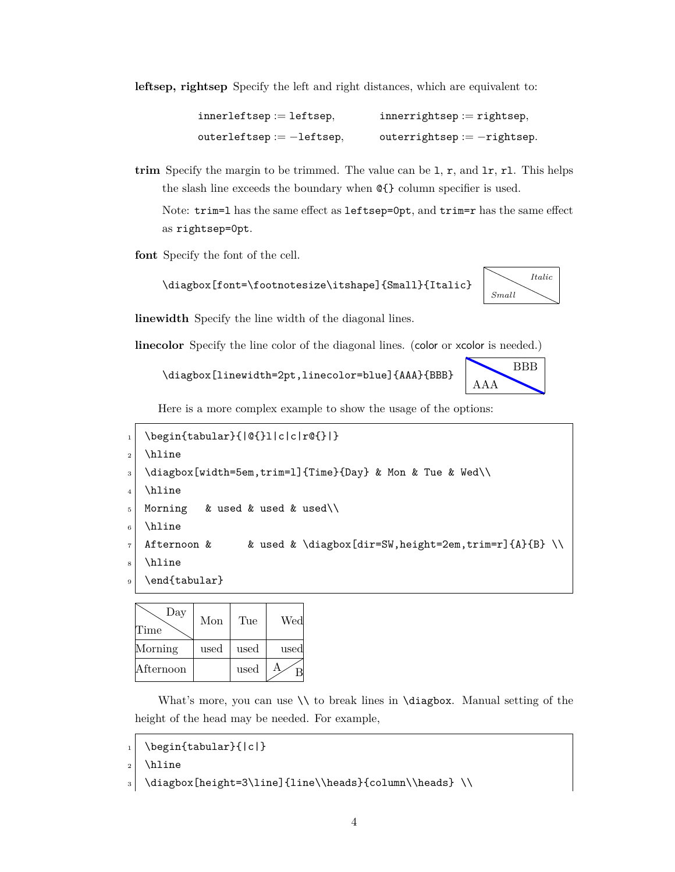**leftsep, rightsep** Specify the left and right distances, which are equivalent to:

| $innerlet \texttt{step} := \texttt{left}$ gp, | $inner right$ sep := rightsep, |
|-----------------------------------------------|--------------------------------|
| ${\tt outerleft}$ sep $:=-{\tt left}$ sep,    | $outerrightsep := -rightsep.$  |

**trim** Specify the margin to be trimmed. The value can be  $1, r$ , and  $1r$ ,  $r1$ . This helps the slash line exceeds the boundary when @{} column specifier is used.

Note: trim=l has the same effect as leftsep=0pt, and trim=r has the same effect as rightsep=0pt.

**font** Specify the font of the cell.

\diagbox[font=\footnotesize\itshape]{Small}{Italic}



**linewidth** Specify the line width of the diagonal lines.

**linecolor** Specify the line color of the diagonal lines. (color or xcolor is needed.)

\diagbox[linewidth=2pt,linecolor=blue]{AAA}{BBB}



Here is a more complex example to show the usage of the options:

```
\begin{tabular}{|@{}l|c|c|r@{}|}
_2 \hline
3 \diagbox[width=5em,trim=l]{Time}{Day} & Mon & Tue & Wed\\
_4 \hline
5 Morning & used & used & used\\
_6 \hline
  Afternoon & & used & \diagbox[dir=SW,height=2em,trim=r]{A}{B} \\
  \hline
  \end{tabular}
```

| Day<br>Time | Mon  | Tue  | Wed  |
|-------------|------|------|------|
| Morning     | used | used | used |
| Afternoon   |      | used |      |

What's more, you can use  $\setminus \setminus$  to break lines in  $\diagdown$  diagbox. Manual setting of the height of the head may be needed. For example,

```
\begin{tabular}{|c|}
```

```
_2 \hline
```
3 \diagbox[height=3\line]{line\\heads}{column\\heads} \\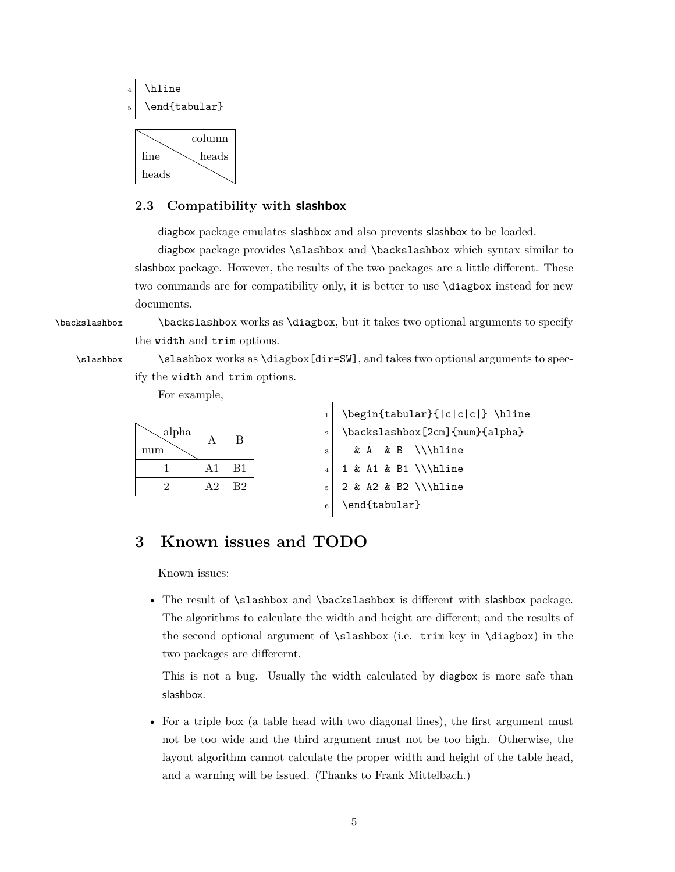```
\hline
```
 $\end{tabular}$ 

|       | column |
|-------|--------|
| line  | heads  |
| heads |        |

### **2.3 Compatibility with slashbox**

diagbox package emulates slashbox and also prevents slashbox to be loaded.

diagbox package provides \slashbox and \backslashbox which syntax similar to slashbox package. However, the results of the two packages are a little different. These two commands are for compatibility only, it is better to use \diagbox instead for new documents.

\backslashbox \backslashbox works as \diagbox, but it takes two optional arguments to specify the width and trim options.

\slashbox works as \diagbox [dir=SW], and takes two optional arguments to specify the width and trim options.

<span id="page-4-1"></span><span id="page-4-0"></span>For example,

| alpha<br>num |                | В              |
|--------------|----------------|----------------|
|              | A1             | B1             |
|              | A <sub>2</sub> | B <sub>2</sub> |

```
\begin{tabular}{|c|c|c|} \hline
  2 \backslashbox[2cm]{num}{alpha}
3 & A & B \\\hline
_4 1 & A1 & B1 \\\hline
5 2 & A2 & B2 \\\hline
   \end{tabular}
```
## **3 Known issues and TODO**

Known issues:

• The result of \slashbox and \backslashbox is different with slashbox package. The algorithms to calculate the width and height are different; and the results of the second optional argument of \slashbox (i.e. trim key in \diagbox) in the two packages are differernt.

This is not a bug. Usually the width calculated by diagbox is more safe than slashbox.

• For a triple box (a table head with two diagonal lines), the first argument must not be too wide and the third argument must not be too high. Otherwise, the layout algorithm cannot calculate the proper width and height of the table head, and a warning will be issued. (Thanks to Frank Mittelbach.)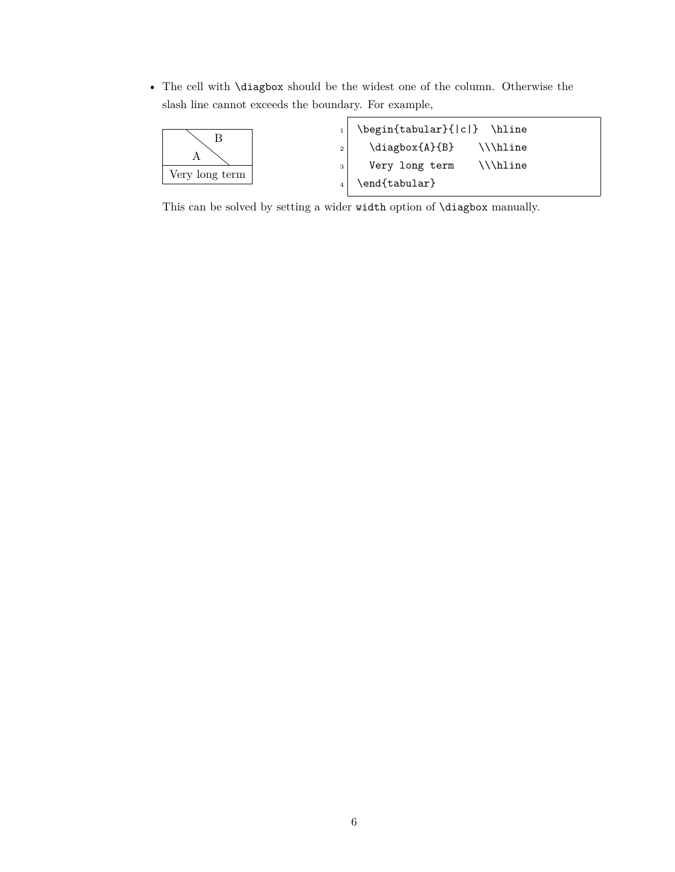• The cell with \diagbox should be the widest one of the column. Otherwise the slash line cannot exceeds the boundary. For example,

|                |   | \begin{tabular}{ c } \hline |          |
|----------------|---|-----------------------------|----------|
|                |   | \diagbox{A}{B}              | ///hline |
| Very long term | 3 | Very long term              | \\\hline |
|                |   | \end{tabular}               |          |

This can be solved by setting a wider width option of \diagbox manually.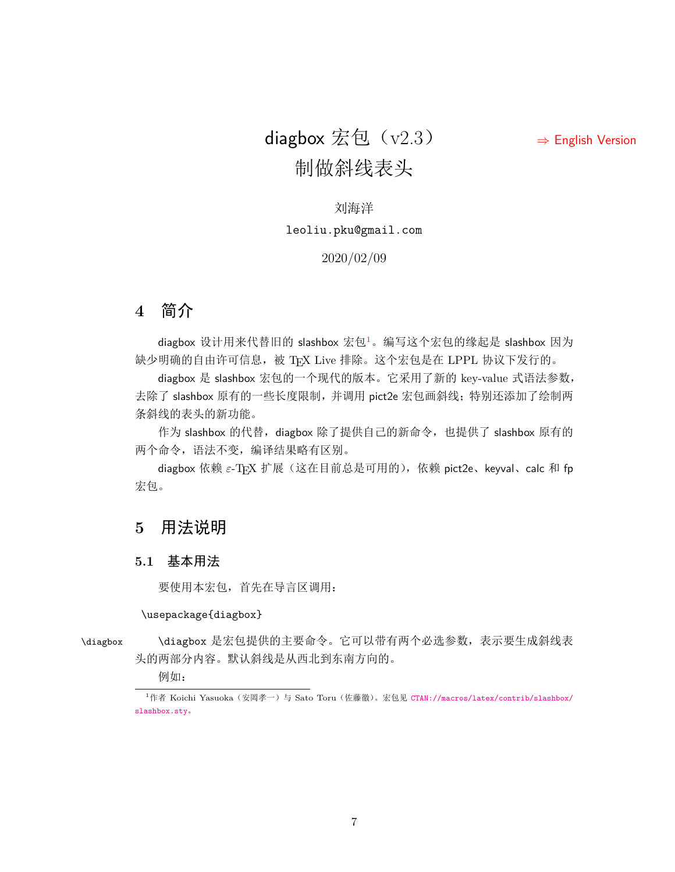# <span id="page-6-0"></span>diagbox  $\hat{\mathcal{E}}$ 包 (v2.3)  $\Rightarrow$  [English Version](#page-0-1)

# 制做斜线表头

## 刘海洋

### leoliu.pku@gmail.com

#### 2020/02/09

## **4** 简介

diagbox 设计用来代替旧的 slashbox 宏包<sup>[1](#page-6-1)</sup>。编写这个宏包的缘起是 slashbox 因为 缺少明确的自由许可信息,被 TEX Live 排除。这个宏包是在 LPPL 协议下发行的。

diagbox 是 slashbox 宏包的一个现代的版本。它采用了新的 key-value 式语法参数, 去除了 slashbox 原有的一些长度限制, 并调用 pict2e 宏包画斜线; 特别还添加了绘制两 条斜线的表头的新功能。

作为 slashbox 的代替, diagbox 除了提供自己的新命令, 也提供了 slashbox 原有的 两个命令,语法不变,编译结果略有区别。

diagbox 依赖 ε-TFX 扩展(这在目前总是可用的), 依赖 pict2e、keyval、calc 和 fp 宏包。

## **5** 用法说明

### **5.1** 基本用法

要使用本宏包,首先在导言区调用:

#### <span id="page-6-2"></span>\usepackage{diagbox}

\diagbox \diagbox 是宏包提供的主要命令。它可以带有两个必选参数,表示要生成斜线表 头的两部分内容。默认斜线是从西北到东南方向的。

例如:

<span id="page-6-1"></span><sup>&</sup>lt;sup>1</sup>作者 Koichi Yasuoka (安岡孝一)与 Sato Toru (佐藤徹)。宏包见 [CTAN://macros/latex/contrib/slashbox/](CTAN://macros/latex/contrib/slashbox/slashbox.sty) [slashbox.sty](CTAN://macros/latex/contrib/slashbox/slashbox.sty)。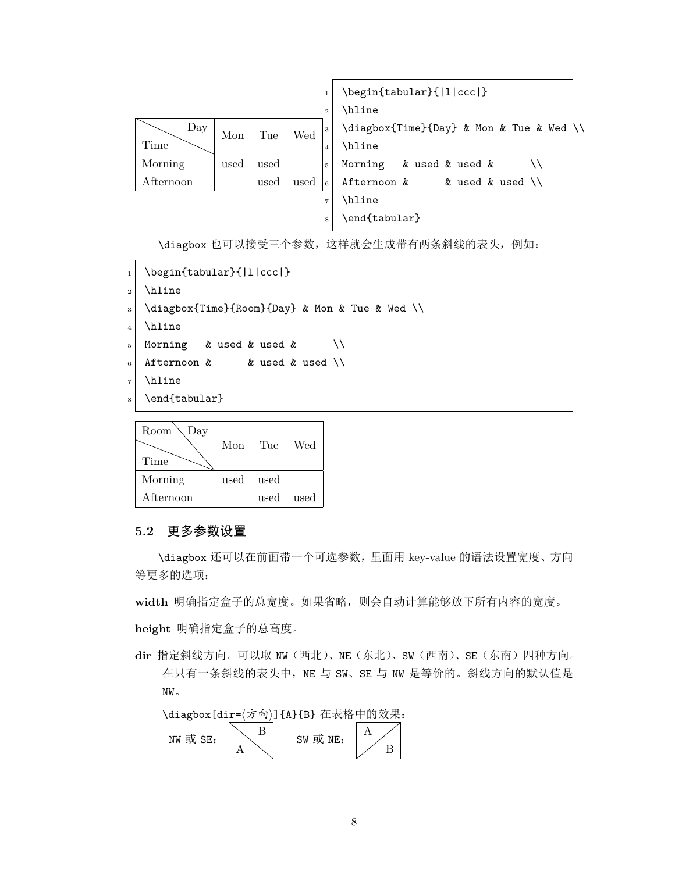<span id="page-7-0"></span>

|           |      |      |      |                | \begin{tabular}{ l ccc }                 |  |
|-----------|------|------|------|----------------|------------------------------------------|--|
|           |      |      |      | $\overline{2}$ | <b>\hline</b>                            |  |
| Day       | Mon  | Tue  | Wed  | 3              | \diagbox{Time}{Day} & Mon & Tue & Wed    |  |
| Time      |      |      |      | $\overline{4}$ | \hline                                   |  |
| Morning   | used | used |      | 5              | & used & used &<br>Morning               |  |
| Afternoon |      | used | used | 6              | & used & used $\setminus$<br>Afternoon & |  |
|           |      |      |      | $\overline{7}$ | \hline                                   |  |
|           |      |      |      | 8              | \end{tabular}                            |  |

\diagbox 也可以接受三个参数,这样就会生成带有两条斜线的表头,例如:

```
_1 \begin{tabular}{|1|ccc|}
_2 \hline
```
- $3 \mid \text{diagbox}$ Time}{Room}{Day} & Mon & Tue & Wed \\
- $_4$  \hline

```
5 Morning & used & used & \\
```
- 6 Afternoon &  $\&$  used & used  $\&$
- $7$  \hline
- \end{tabular}

| Room<br>Day<br>Time | Mon | Tue         | Wed  |
|---------------------|-----|-------------|------|
| Morning             |     | $used$ used |      |
| Afternoon           |     | used        | used |

### **5.2** 更多参数设置

\diagbox 还可以在前面带一个可选参数,里面用 key-value 的语法设置宽度、方向 等更多的选项:

**width** 明确指定盒子的总宽度。如果省略,则会自动计算能够放下所有内容的宽度。

**height** 明确指定盒子的总高度。

**dir** 指定斜线方向。可以取 NW(西北)、NE(东北)、SW(西南)、SE(东南)四种方向。 在只有一条斜线的表头中, NE 与 SW、SE 与 NW 是等价的。斜线方向的默认值是 NW。

\diagbox[dir=*⟨*方向*⟩*]{A}{B} 在表格中的效果:

NW 或 SE: A B SW 或 NE: A B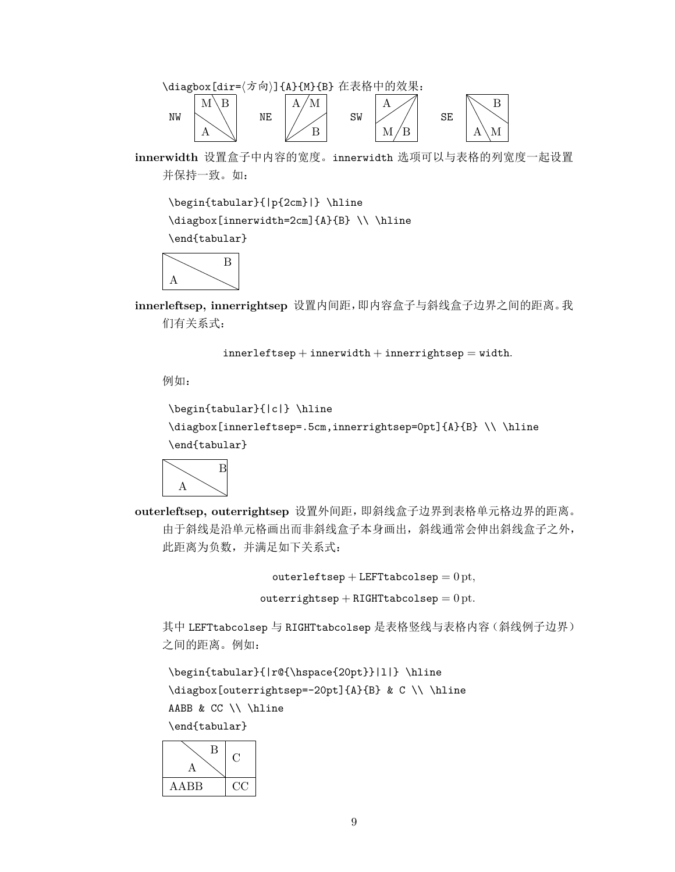

**innerwidth** 设置盒子中内容的宽度。innerwidth 选项可以与表格的列宽度一起设置 并保持一致。如:

```
\begin{tabular}{|p{2cm}|} \hline
\diagbox[innerwidth=2cm]{A}{B} \\ \hline
\end{tabular}
```


**innerleftsep, innerrightsep** 设置内间距,即内容盒子与斜线盒子边界之间的距离。我 们有关系式:

innerleftsep + innerwidth + innerrightsep = width*.*

例如:

```
\begin{tabular}{|c|} \hline
```

```
\diagbox[innerleftsep=.5cm,innerrightsep=0pt]{A}{B} \\ \hline
\end{tabular}
```


**outerleftsep, outerrightsep** 设置外间距,即斜线盒子边界到表格单元格边界的距离。 由于斜线是沿单元格画出而非斜线盒子本身画出,斜线通常会伸出斜线盒子之外, 此距离为负数,并满足如下关系式:

 $outerlet$ sep + LEFTtabcolsep =  $0$  pt,

 $outer right$ sep + RIGHTtabcolsep =  $0$  pt.

其中 LEFTtabcolsep 与 RIGHTtabcolsep 是表格竖线与表格内容(斜线例子边界) 之间的距离。例如:

```
\begin{tabular}{|r@{\hspace{20pt}}|1|} \hline
\diagbox[outerrightsep=-20pt]{A}{B} & C \\ \hline
AABB & CC \\ \hline
```
\end{tabular}

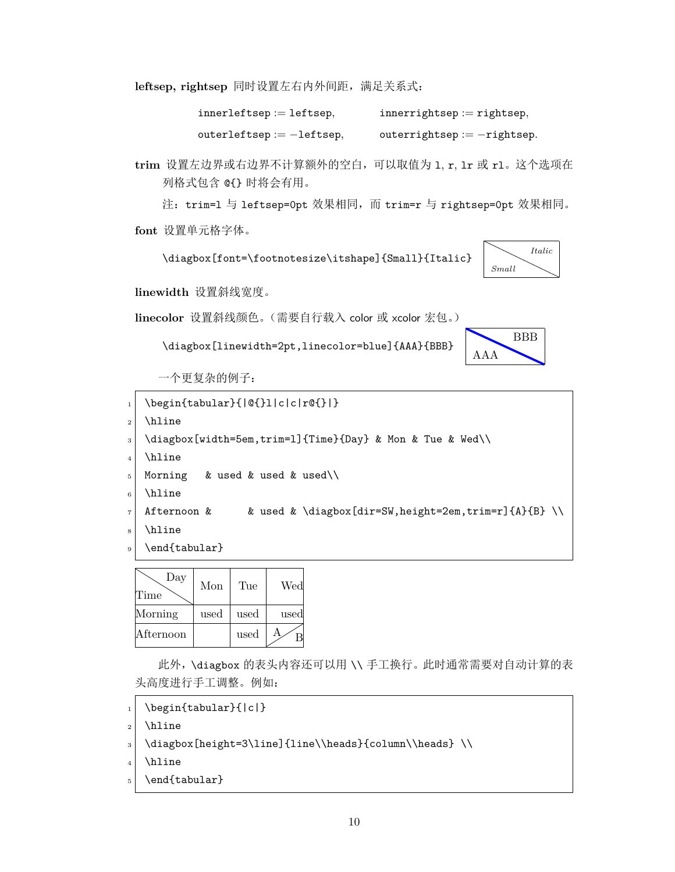<span id="page-9-0"></span>**leftsep, rightsep** 同时设置左右内外间距,满足关系式:

```
innerleftsep := leftsep, innerrightsep := rightsep,
outerleftsep := −leftsep, outerrightsep := −rightsep.
```
**trim** 设置左边界或右边界不计算额外的空白,可以取值为 l, r, lr 或 rl。这个选项在 列格式包含 @{} 时将会有用。

注: trim=1 与 leftsep=0pt 效果相同, 而 trim=r 与 rightsep=0pt 效果相同。 **font** 设置单元格字体。

\diagbox[font=\footnotesize\itshape]{Small}{Italic}



**linewidth** 设置斜线宽度。

**linecolor** 设置斜线颜色。(需要自行载入 color 或 xcolor 宏包。)

\diagbox[linewidth=2pt,linecolor=blue]{AAA}{BBB}



一个更复杂的例子:

```
\begin{tabular}{|@{}l|c|c|r@{}|}
_2 \hline
3 \diagbox[width=5em,trim=l]{Time}{Day} & Mon & Tue & Wed\\
_4 \hline
  Morning & used & used & used\setminus\hline
  Afternoon & & used & \diagbox[dir=SW,height=2em,trim=r]{A}{B} \\
   \hline
   \end{tabular}
```

| Day<br>Time | Mon  | Tue  | Wed  |
|-------------|------|------|------|
| Morning     | used | used | used |
| Afternoon   |      | used |      |

此外,\diagbox 的表头内容还可以用 \\ 手工换行。此时通常需要对自动计算的表 头高度进行手工调整。例如:

```
\begin{tabular}{|c|}
```

```
\hline
```

```
3 \diagbox[height=3\line]{line\\heads}{column\\heads} \\
```

```
\hline
```
\end{tabular}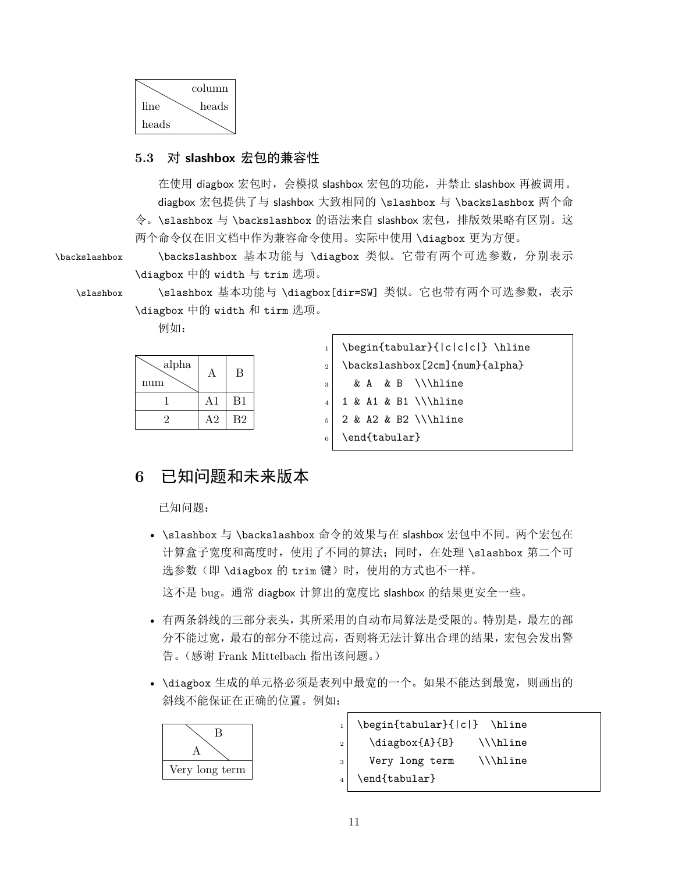

### **5.3** 对 **slashbox** 宏包的兼容性

在使用 diagbox 宏包时,会模拟 slashbox 宏包的功能,并禁止 slashbox 再被调用。 diagbox 宏包提供了与 slashbox 大致相同的 \slashbox 与 \backslashbox 两个命 令。\slashbox 与 \backslashbox 的语法来自 slashbox 宏包,排版效果略有区别。这 两个命令仅在旧文档中作为兼容命令使用。实际中使用 \diagbox 更为方便。

\backslashbox \backslashbox 基本功能与 \diagbox 类似。它带有两个可选参数,分别表示 \diagbox 中的 width 与 trim 选项。

\slashbox \slashbox 基本功能与 \diagbox[dir=SW] 类似。它也带有两个可选参数,表示 \diagbox 中的 width 和 tirm 选项。

<span id="page-10-1"></span><span id="page-10-0"></span>例如:

| alpha<br>num | А              | В              |
|--------------|----------------|----------------|
|              | A1             | B1             |
|              | A <sub>2</sub> | B <sub>2</sub> |

\begin{tabular}{|c|c|c|} \hline \backslashbox[2cm]{num}{alpha} & A & B \\\hline 1 & A1 & B1 \\\hline 2 & A2 & B2 \\\hline \end{tabular}

## **6** 已知问题和未来版本

已知问题:

• \slashbox 与 \backslashbox 命令的效果与在 slashbox 宏包中不同。两个宏包在 计算盒子宽度和高度时,使用了不同的算法;同时,在处理 \slashbox 第二个可 选参数(即 \diagbox 的 trim 键)时, 使用的方式也不一样。

这不是 bug。通常 diagbox 计算出的宽度比 slashbox 的结果更安全一些。

- 有两条斜线的三部分表头,其所采用的自动布局算法是受限的。特别是,最左的部 分不能过宽,最右的部分不能过高,否则将无法计算出合理的结果,宏包会发出警 告。(感谢 Frank Mittelbach 指出该问题。)
- \diagbox 生成的单元格必须是表列中最宽的一个。如果不能达到最宽,则画出的 斜线不能保证在正确的位置。例如:



\begin{tabular}{|c|} \hline 2 \diagbox{A}{B} \\\hline 3 Very long term \\\hline  $\end{tabular}$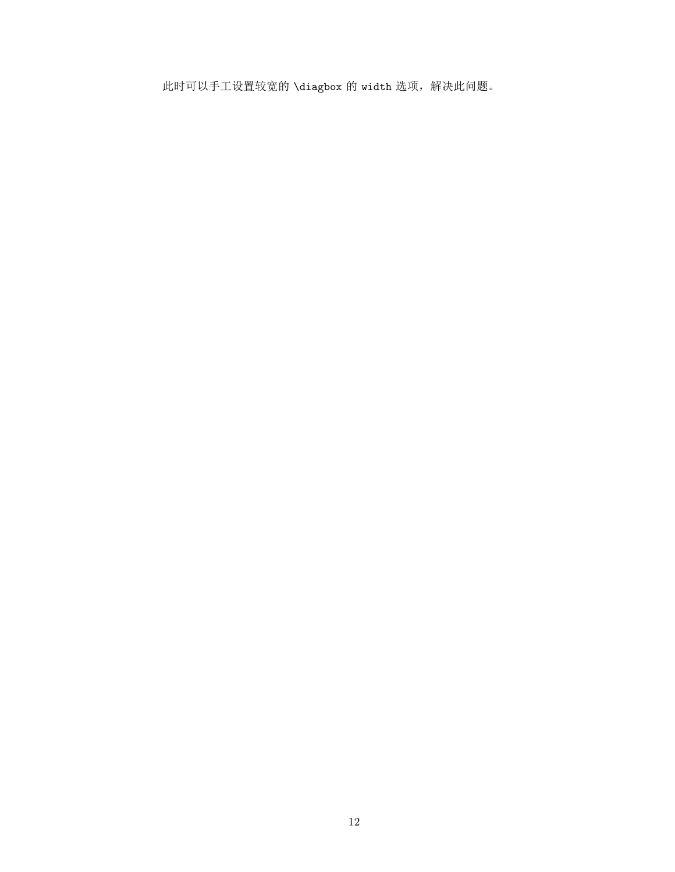此时可以手工设置较宽的 \diagbox 的 width 选项,解决此问题。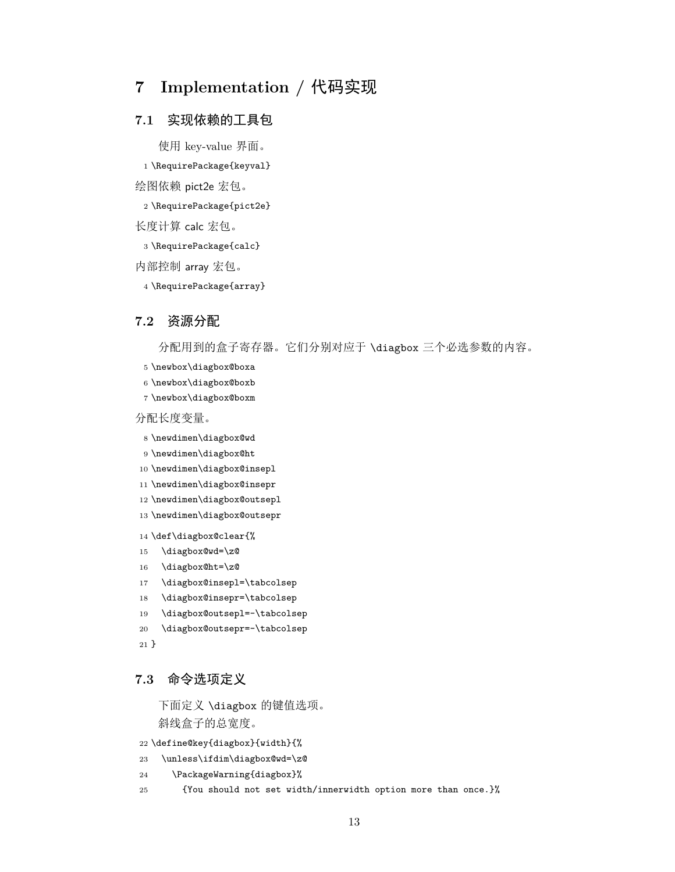## <span id="page-12-0"></span>**7 Implementation /** 代码实现

### **7.1** 实现依赖的工具包

使用 key-value 界面。

\RequirePackage{keyval}

绘图依赖 pict2e 宏包。

\RequirePackage{pict2e}

长度计算 calc 宏包。

\RequirePackage{calc}

内部控制 array 宏包。

\RequirePackage{array}

### **7.2** 资源分配

分配用到的盒子寄存器。它们分别对应于 \diagbox 三个必选参数的内容。

- <span id="page-12-1"></span>\newbox\diagbox@boxa
- <span id="page-12-2"></span>\newbox\diagbox@boxb
- <span id="page-12-3"></span>\newbox\diagbox@boxm

分配长度变量。

- <span id="page-12-15"></span>\newdimen\diagbox@wd
- <span id="page-12-5"></span>\newdimen\diagbox@ht
- <span id="page-12-7"></span>\newdimen\diagbox@insepl
- <span id="page-12-9"></span>\newdimen\diagbox@insepr
- <span id="page-12-11"></span>\newdimen\diagbox@outsepl
- <span id="page-12-13"></span>\newdimen\diagbox@outsepr

<span id="page-12-4"></span>\def\diagbox@clear{%

- <span id="page-12-16"></span>\diagbox@wd=\z@
- <span id="page-12-6"></span>\diagbox@ht=\z@
- <span id="page-12-8"></span>\diagbox@insepl=\tabcolsep
- <span id="page-12-10"></span>\diagbox@insepr=\tabcolsep
- <span id="page-12-12"></span>\diagbox@outsepl=-\tabcolsep
- <span id="page-12-14"></span>\diagbox@outsepr=-\tabcolsep

}

### **7.3** 命令选项定义

下面定义 \diagbox 的键值选项。 斜线盒子的总宽度。

\define@key{diagbox}{width}{%

<span id="page-12-17"></span>\unless\ifdim\diagbox@wd=\z@

- <span id="page-12-18"></span>\PackageWarning{diagbox}%
- {You should not set width/innerwidth option more than once.}%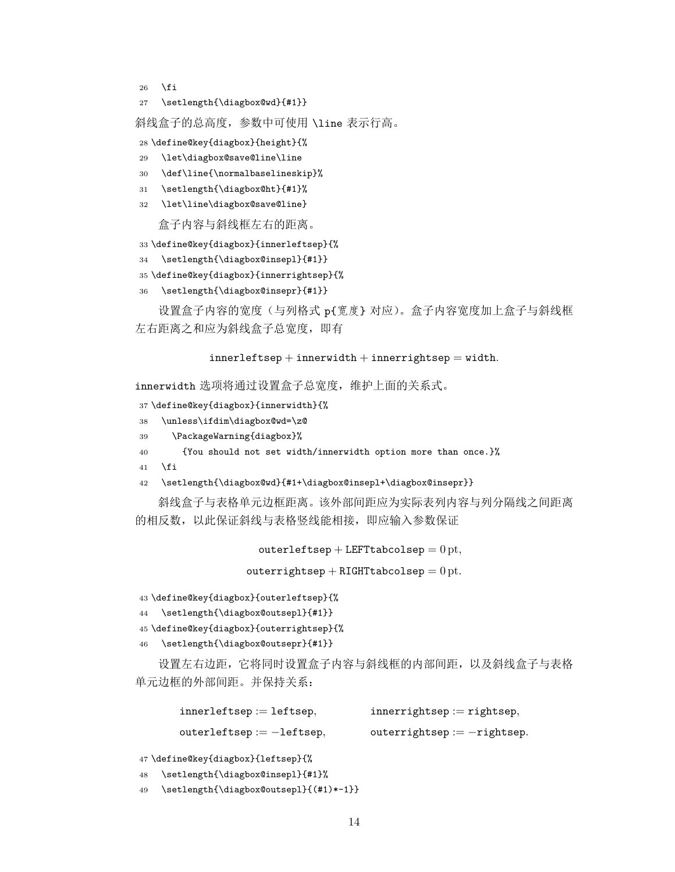<span id="page-13-0"></span>\fi

<span id="page-13-11"></span>\setlength{\diagbox@wd}{#1}}

斜线盒子的总高度,参数中可使用 \line 表示行高。

```
28 \define@key{diagbox}{height}{%
```
- <span id="page-13-9"></span>\let\diagbox@save@line\line
- <span id="page-13-13"></span>\def\line{\normalbaselineskip}%
- <span id="page-13-1"></span>\setlength{\diagbox@ht}{#1}%
- <span id="page-13-10"></span>\let\line\diagbox@save@line}

盒子内容与斜线框左右的距离。

- \define@key{diagbox}{innerleftsep}{%
- <span id="page-13-2"></span>\setlength{\diagbox@insepl}{#1}}
- \define@key{diagbox}{innerrightsep}{%
- <span id="page-13-5"></span>\setlength{\diagbox@insepr}{#1}}

设置盒子内容的宽度(与列格式 p{宽度} 对应)。盒子内容宽度加上盒子与斜线框 左右距离之和应为斜线盒子总宽度,即有

```
innerleftsep + innerwidth + innerrightsep = width.
```
innerwidth 选项将通过设置盒子总宽度,维护上面的关系式。

```
37 \define@key{diagbox}{innerwidth}{%
```
- <span id="page-13-12"></span>\unless\ifdim\diagbox@wd=\z@
- <span id="page-13-14"></span>\PackageWarning{diagbox}%
- {You should not set width/innerwidth option more than once.}%
- \fi
- <span id="page-13-3"></span>\setlength{\diagbox@wd}{#1+\diagbox@insepl+\diagbox@insepr}}

斜线盒子与表格单元边框距离。该外部间距应为实际表列内容与列分隔线之间距离 的相反数,以此保证斜线与表格竖线能相接,即应输入参数保证

 $outerlet$ sep + LEFTtabcolsep =  $0$  pt,

 $outer right$ sep + RIGHTtabcolsep =  $0$  pt.

```
43 \define@key{diagbox}{outerleftsep}{%
```

```
44 \setlength{\diagbox@outsepl}{#1}}
```

```
45 \define@key{diagbox}{outerrightsep}{%
```
<span id="page-13-8"></span>\setlength{\diagbox@outsepr}{#1}}

设置左右边距,它将同时设置盒子内容与斜线框的内部间距,以及斜线盒子与表格 单元边框的外部间距。并保持关系:

| $innerlet \texttt{step} := \texttt{left}$      | $inner right$ sep := rightsep, |
|------------------------------------------------|--------------------------------|
| $outerlet \text{step} := -left \text{before},$ | $outerrightsep := -rightsep.$  |

\define@key{diagbox}{leftsep}{%

<span id="page-13-4"></span>\setlength{\diagbox@insepl}{#1}%

<span id="page-13-7"></span>\setlength{\diagbox@outsepl}{(#1)\*-1}}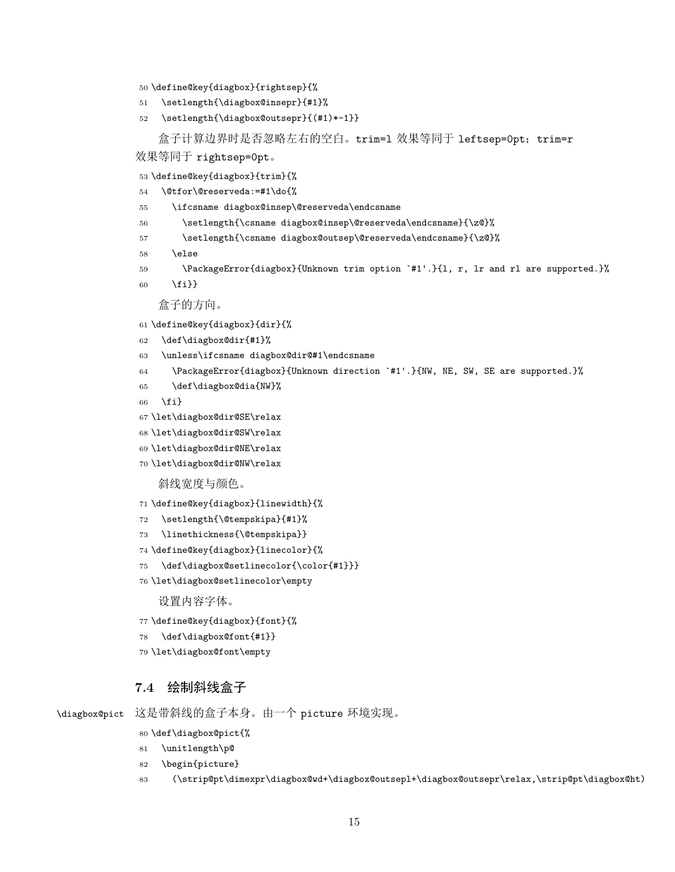<span id="page-14-0"></span>\define@key{diagbox}{rightsep}{%

- <span id="page-14-11"></span>\setlength{\diagbox@insepr}{#1}%
- <span id="page-14-12"></span>\setlength{\diagbox@outsepr}{(#1)\*-1}}

盒子计算边界时是否忽略左右的空白。trim=1 效果等同于 leftsep=0pt; trim=r 效果等同于 rightsep=0pt。

```
53 \define@key{diagbox}{trim}{%
```

```
54 \@tfor\@reserveda:=#1\do{%
```
- \ifcsname diagbox@insep\@reserveda\endcsname
- 56 \setlength{\csname diagbox@insep\@reserveda\endcsname}{\z@}%
- 57 \setlength{\csname diagbox@outsep\@reserveda\endcsname}{\z@}%
- \else
- \PackageError{diagbox}{Unknown trim option `#1'.}{l, r, lr and rl are supported.}%
- \fi}}

盒子的方向。

\define@key{diagbox}{dir}{%

- <span id="page-14-3"></span>\def\diagbox@dir{#1}%
- \unless\ifcsname diagbox@dir@#1\endcsname
- \PackageError{diagbox}{Unknown direction `#1'.}{NW, NE, SW, SE are supported.}%
- <span id="page-14-2"></span>\def\diagbox@dia{NW}%
- \fi}
- <span id="page-14-6"></span>\let\diagbox@dir@SE\relax
- <span id="page-14-7"></span>\let\diagbox@dir@SW\relax
- <span id="page-14-4"></span>\let\diagbox@dir@NE\relax
- <span id="page-14-5"></span>\let\diagbox@dir@NW\relax

斜线宽度与颜色。

- \define@key{diagbox}{linewidth}{%
- \setlength{\@tempskipa}{#1}%
- <span id="page-14-15"></span>\linethickness{\@tempskipa}}
- \define@key{diagbox}{linecolor}{%
- <span id="page-14-1"></span>\def\diagbox@setlinecolor{\color{#1}}}
- <span id="page-14-14"></span>\let\diagbox@setlinecolor\empty

设置内容字体。

\define@key{diagbox}{font}{%

```
78 \def\diagbox@font{#1}}
```

```
79 \let\diagbox@font\empty
```
### **7.4** 绘制斜线盒子

<span id="page-14-13"></span>\diagbox@pict 这是带斜线的盒子本身。由一个 picture 环境实现。

\def\diagbox@pict{%

- \unitlength\p@
- \begin{picture}
- <span id="page-14-10"></span>(\strip@pt\dimexpr\diagbox@wd+\diagbox@outsepl+\diagbox@outsepr\relax,\strip@pt\diagbox@ht)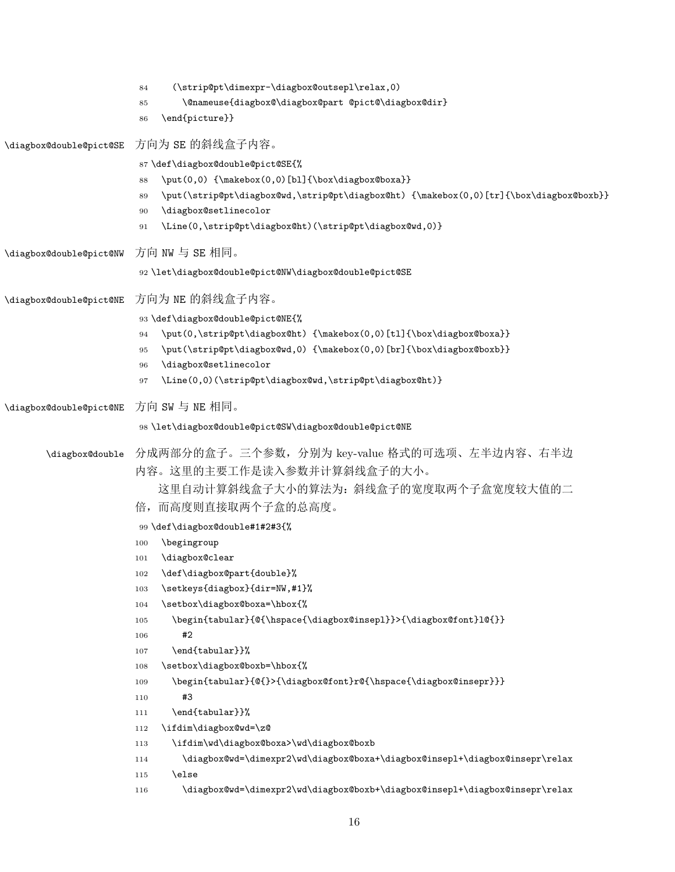<span id="page-15-27"></span><span id="page-15-26"></span><span id="page-15-25"></span><span id="page-15-24"></span><span id="page-15-23"></span><span id="page-15-22"></span><span id="page-15-21"></span><span id="page-15-20"></span><span id="page-15-19"></span><span id="page-15-18"></span><span id="page-15-17"></span><span id="page-15-16"></span><span id="page-15-15"></span><span id="page-15-14"></span><span id="page-15-13"></span><span id="page-15-12"></span><span id="page-15-11"></span><span id="page-15-10"></span><span id="page-15-9"></span><span id="page-15-8"></span><span id="page-15-7"></span><span id="page-15-6"></span><span id="page-15-5"></span><span id="page-15-4"></span><span id="page-15-3"></span><span id="page-15-2"></span><span id="page-15-1"></span><span id="page-15-0"></span>

|                         | (\strip@pt\dimexpr-\diagbox@outsepl\relax,0)<br>84<br>\@nameuse{diagbox@\diagbox@part @pict@\diagbox@dir}<br>85<br>\end{picture}}<br>86                                                                                                                                                                                                                                                                                                                                                                                                                                                                                                                   |
|-------------------------|-----------------------------------------------------------------------------------------------------------------------------------------------------------------------------------------------------------------------------------------------------------------------------------------------------------------------------------------------------------------------------------------------------------------------------------------------------------------------------------------------------------------------------------------------------------------------------------------------------------------------------------------------------------|
| \diagbox@double@pict@SE | 方向为 SE 的斜线盒子内容。<br>87 \def\diagbox@double@pict@SE{%<br>\put(0,0) {\makebox(0,0)[bl]{\box\diagbox@boxa}}<br>88<br>\put(\strip@pt\diagbox@wd,\strip@pt\diagbox@ht) {\makebox(0,0)[tr]{\box\diagbox@boxb}}<br>89<br>\diagbox@setlinecolor<br>90<br>\Line(0,\strip@pt\diagbox@ht)(\strip@pt\diagbox@wd,0)}<br>91                                                                                                                                                                                                                                                                                                                                              |
| \diagbox@double@pict@NW | 方向 NW 与 SE 相同。<br>92\let\diagbox@double@pict@NW\diagbox@double@pict@SE                                                                                                                                                                                                                                                                                                                                                                                                                                                                                                                                                                                    |
| \diagbox@double@pict@NE | 方向为 NE 的斜线盒子内容。<br>93 \def\diagbox@double@pict@NE{%<br>\put(0,\strip@pt\diagbox@ht) {\makebox(0,0)[tl]{\box\diagbox@boxa}}<br>94<br>\put(\strip@pt\diagbox@wd,0) {\makebox(0,0)[br]{\box\diagbox@boxb}}<br>95<br>\diagbox@setlinecolor<br>96<br>\Line(0,0)(\strip@pt\diagbox@wd,\strip@pt\diagbox@ht)}<br>97                                                                                                                                                                                                                                                                                                                                              |
| \diagbox@double@pict@NE | 方向 SW 与 NE 相同。<br>98\let\diagbox@double@pict@SW\diagbox@double@pict@NE                                                                                                                                                                                                                                                                                                                                                                                                                                                                                                                                                                                    |
| \diagbox@double         | 分成两部分的盒子。三个参数,分别为 key-value 格式的可选项、左半边内容、右半边<br>内容。这里的主要工作是读入参数并计算斜线盒子的大小。<br>这里自动计算斜线盒子大小的算法为: 斜线盒子的宽度取两个子盒宽度较大值的二<br>倍,而高度则直接取两个子盒的总高度。<br>99 \def\diagbox@double#1#2#3{%<br>\begingroup<br>100<br>\diagbox@clear<br>101<br>102<br>\def\diagbox@part{double}%<br>\setkeys{diagbox}{dir=NW,#1}%<br>103<br>\setbox\diagbox@boxa=\hbox{%<br>104<br>\begin{tabular}{@{\hspace{\diagbox@insepl}}>{\diagbox@font}1@{}}<br>105<br>#2<br>106<br>\end{tabular}}%<br>107<br>\setbox\diagbox@boxb=\hbox{%<br>108<br>\begin{tabular}{@{}>{\diagbox@font}r@{\hspace{\diagbox@insepr}}}<br>109<br>#3<br>110<br>\end{tabular}}%<br>111<br>\ifdim\diagbox@wd=\z@<br>112 |
|                         | \ifdim\wd\diagbox@boxa>\wd\diagbox@boxb<br>113<br>\diagbox@wd=\dimexpr2\wd\diagbox@boxa+\diagbox@insep1+\diagbox@insepr\relax<br>114<br>\else<br>115<br>\diagbox@wd=\dimexpr2\wd\diagbox@boxb+\diagbox@insep1+\diagbox@insepr\relax<br>116                                                                                                                                                                                                                                                                                                                                                                                                                |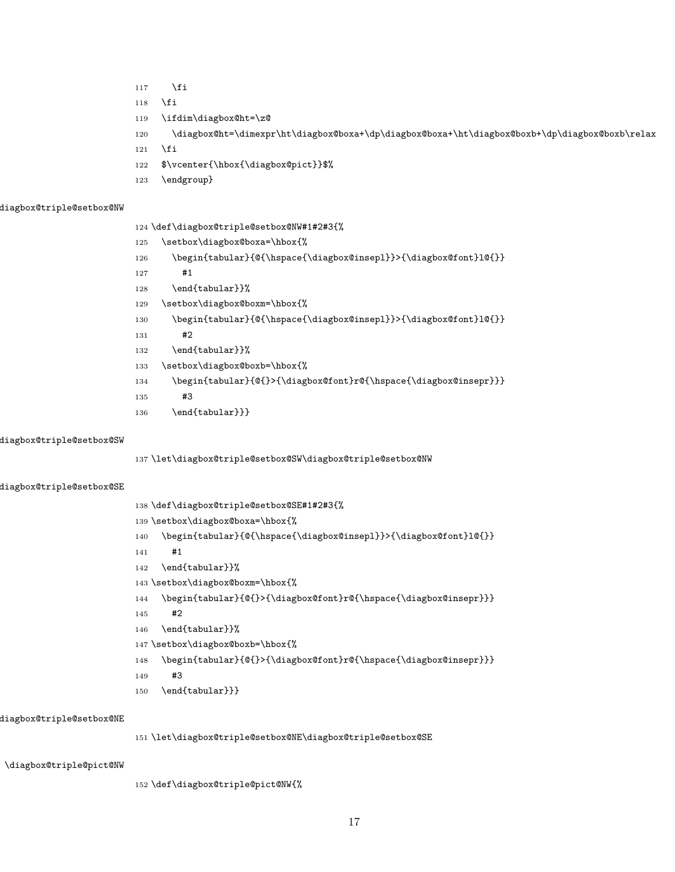- \fi
- \fi
- <span id="page-16-13"></span>\ifdim\diagbox@ht=\z@
- <span id="page-16-0"></span>\diagbox@ht=\dimexpr\ht\diagbox@boxa+\dp\diagbox@boxa+\ht\diagbox@boxb+\dp\diagbox@boxb\relax
- \fi
- <span id="page-16-14"></span>\$\vcenter{\hbox{\diagbox@pict}}\$%
- \endgroup}

#### <span id="page-16-17"></span>\diagbox@triple@setbox@NW

\def\diagbox@triple@setbox@NW#1#2#3{%

<span id="page-16-8"></span><span id="page-16-7"></span><span id="page-16-5"></span><span id="page-16-1"></span>125 \setbox\diagbox@boxa=\hbox{% \begin{tabular}{@{\hspace{\diagbox@insepl}}>{\diagbox@font}l@{}} #1 128 \end{tabular}}% \setbox\diagbox@boxm=\hbox{% \begin{tabular}{@{\hspace{\diagbox@insepl}}>{\diagbox@font}l@{}} #2 132 \end{tabular}}% 133 \setbox\diagbox@boxb=\hbox{% 134 \begin{tabular}{@{}>{\diagbox@font}r@{\hspace{\diagbox@insepr}}} #3 136 \end{tabular}}}

#### <span id="page-16-21"></span>\diagbox@triple@setbox@SW

<span id="page-16-18"></span><span id="page-16-9"></span><span id="page-16-3"></span>\let\diagbox@triple@setbox@SW\diagbox@triple@setbox@NW

#### <span id="page-16-19"></span>diagbox@triple@setbox@SE

<span id="page-16-11"></span><span id="page-16-10"></span><span id="page-16-6"></span><span id="page-16-2"></span>

|     | 138 \def\diagbox@triple@setbox@SE#1#2#3{%                        |
|-----|------------------------------------------------------------------|
|     | 139 \setbox\diagbox@boxa=\hbox{%                                 |
| 140 | \begin{tabular}{@{\hspace{\diagbox@insepl}}>{\diagbox@font}1@{}} |
| 141 | #1                                                               |
| 142 | \end{tabular}}%                                                  |
|     | 143 \setbox\diagbox@boxm=\hbox{%                                 |
| 144 | \begin{tabular}{@{}>{\diagbox@font}r@{\hspace{\diagbox@insepr}}} |
| 145 | #2                                                               |
| 146 | \end{tabular}}%                                                  |
|     | 147 \setbox\diagbox@boxb=\hbox{%                                 |
| 148 | \begin{tabular}{@{}>{\diagbox@font}r@{\hspace{\diagbox@insepr}}} |
| 149 | #3                                                               |
| 150 | \end{tabular}}}                                                  |

#### <span id="page-16-16"></span>\diagbox@triple@setbox@NE

<span id="page-16-20"></span><span id="page-16-12"></span><span id="page-16-4"></span>\let\diagbox@triple@setbox@NE\diagbox@triple@setbox@SE

#### <span id="page-16-15"></span>\diagbox@triple@pict@NW

\def\diagbox@triple@pict@NW{%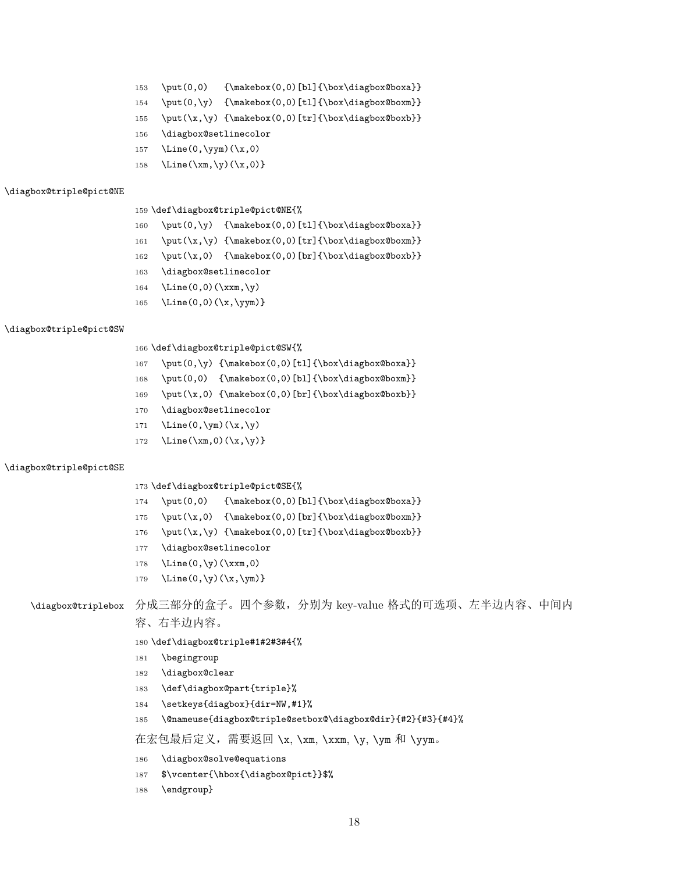- <span id="page-17-1"></span><span id="page-17-0"></span>153 \put(0,0) {\makebox(0,0)[bl]{\box\diagbox@boxa}}
- <span id="page-17-9"></span>154 \put(0,\y) {\makebox(0,0)[tl]{\box\diagbox@boxm}}
- <span id="page-17-5"></span>155 \put(\x,\y) {\makebox(0,0)[tr]{\box\diagbox@boxb}}
- <span id="page-17-17"></span>156 \diagbox@setlinecolor
- <span id="page-17-27"></span>157 \Line(0,\yym)(\x,0)
- <span id="page-17-28"></span>158 \Line(\xm,\y)(\x,0)}

#### <span id="page-17-23"></span>\diagbox@triple@pict@NE

159 \def\diagbox@triple@pict@NE{%

- <span id="page-17-2"></span>160 \put(0,\y) {\makebox(0,0)[tl]{\box\diagbox@boxa}}
- <span id="page-17-10"></span>161 \put(\x,\y) {\makebox(0,0)[tr]{\box\diagbox@boxm}}
- <span id="page-17-6"></span>162 \put(\x,0) {\makebox(0,0)[br]{\box\diagbox@boxb}}
- <span id="page-17-18"></span>163 \diagbox@setlinecolor
- <span id="page-17-33"></span>164 \Line(0,0)(\xxm,\y)
- <span id="page-17-29"></span>165 \Line(0,0)(\x,\yym)}

#### <span id="page-17-25"></span>\diagbox@triple@pict@SW

166 \def\diagbox@triple@pict@SW{%

- <span id="page-17-3"></span>167 \put(0,\y) {\makebox(0,0)[tl]{\box\diagbox@boxa}}
- <span id="page-17-11"></span>168 \put(0,0) {\makebox(0,0)[bl]{\box\diagbox@boxm}}
- <span id="page-17-7"></span>169 \put(\x,0) {\makebox(0,0)[br]{\box\diagbox@boxb}}
- <span id="page-17-19"></span>170 \diagbox@setlinecolor
- <span id="page-17-30"></span>171 \Line(0,\ym)(\x,\y)
- <span id="page-17-31"></span>172 \Line(\xm,0)(\x,\y)}

#### <span id="page-17-24"></span>\diagbox@triple@pict@SE

173 \def\diagbox@triple@pict@SE{%

- <span id="page-17-4"></span>174 \put(0,0) {\makebox(0,0)[bl]{\box\diagbox@boxa}}
- <span id="page-17-12"></span>175 \put(\x,0) {\makebox(0,0)[br]{\box\diagbox@boxm}}
- <span id="page-17-8"></span>176 \put(\x,\y) {\makebox(0,0)[tr]{\box\diagbox@boxb}}
- <span id="page-17-20"></span>177 \diagbox@setlinecolor
- <span id="page-17-34"></span>178 \Line(0,\y)(\xxm,0)
- <span id="page-17-32"></span>179 \Line(0,\y)(\x,\ym)}

### <span id="page-17-26"></span>\diagbox@triplebox 分成三部分的盒子。四个参数,分别为 key-value 格式的可选项、左半边内容、中间内 容、右半边内容。

- <span id="page-17-22"></span>180 \def\diagbox@triple#1#2#3#4{%
- 181 \begingroup
- <span id="page-17-13"></span>182 \diagbox@clear
- <span id="page-17-15"></span>183 \def\diagbox@part{triple}%
- 184 \setkeys{diagbox}{dir=NW,#1}%
- <span id="page-17-14"></span>185 \@nameuse{diagbox@triple@setbox@\diagbox@dir}{#2}{#3}{#4}%

在宏包最后定义,需要返回 \x, \xm, \xxm, \y, \ym 和 \yym。

- <span id="page-17-21"></span>186 \diagbox@solve@equations
- <span id="page-17-16"></span>187 \$\vcenter{\hbox{\diagbox@pict}}\$%
- 188 \endgroup}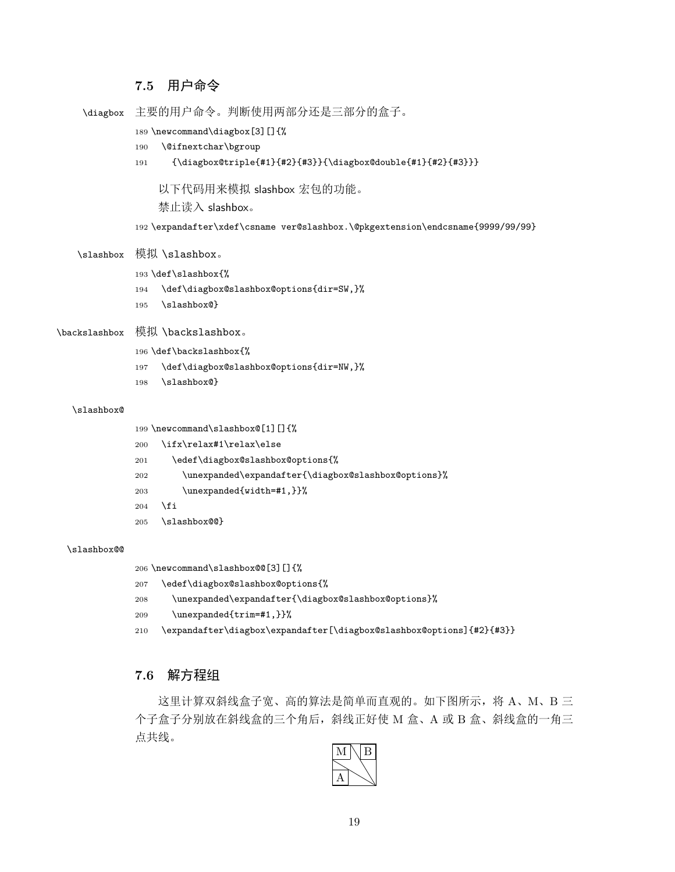### <span id="page-18-0"></span>**7.5** 用户命令

<span id="page-18-2"></span>\diagbox 主要的用户命令。判断使用两部分还是三部分的盒子。

189 \newcommand\diagbox[3][]{%

- 190 \@ifnextchar\bgroup
- <span id="page-18-4"></span>191 {\diagbox@triple{#1}{#2}{#3}}{\diagbox@double{#1}{#2}{#3}}}

以下代码用来模拟 slashbox 宏包的功能。

禁止读入 slashbox。

192 \expandafter\xdef\csname ver@slashbox.\@pkgextension\endcsname{9999/99/99}

#### <span id="page-18-11"></span>\slashbox 模拟 \slashbox。

- 193 \def\slashbox{%
- <span id="page-18-5"></span>194 \def\diagbox@slashbox@options{dir=SW,}%
- <span id="page-18-12"></span>195 \slashbox@}

#### <span id="page-18-1"></span>\backslashbox 模拟 \backslashbox。

196 \def\backslashbox{%

- <span id="page-18-6"></span>197 \def\diagbox@slashbox@options{dir=NW,}%
- <span id="page-18-13"></span>198 \slashbox@}

#### <span id="page-18-14"></span>\slashbox@

- 199 \newcommand\slashbox@[1][]{%
- 200 \ifx\relax#1\relax\else
- <span id="page-18-7"></span>201 \edef\diagbox@slashbox@options{%
- <span id="page-18-8"></span>202 \unexpanded\expandafter{\diagbox@slashbox@options}%
- 203 \unexpanded{width=#1,}}%
- $204$  \fi
- <span id="page-18-15"></span>205 \slashbox@@}

#### <span id="page-18-16"></span>\slashbox@@

206 \newcommand\slashbox@@[3][]{%

- <span id="page-18-9"></span>207 \edef\diagbox@slashbox@options{%
- <span id="page-18-10"></span>208 \unexpanded\expandafter{\diagbox@slashbox@options}%
- 209 \unexpanded{trim=#1,}}%
- <span id="page-18-3"></span>210 \expandafter\diagbox\expandafter[\diagbox@slashbox@options]{#2}{#3}}

### **7.6** 解方程组

这里计算双斜线盒子宽、高的算法是简单而直观的。如下图所示,将 A、M、B 三 个子盒子分别放在斜线盒的三个角后,斜线正好使 M 盒、A 或 B 盒、斜线盒的一角三 点共线。

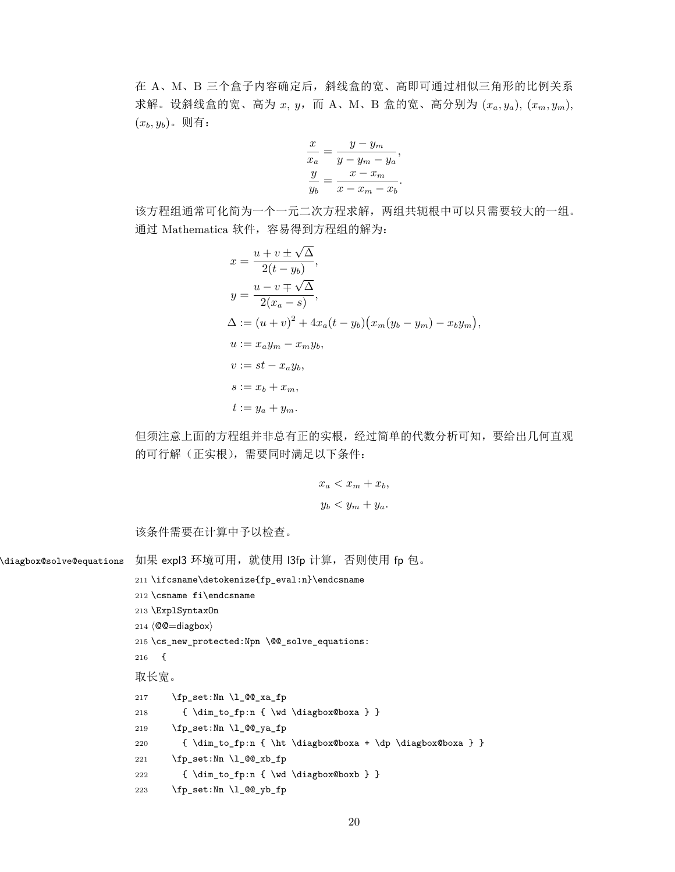在 A、M、B 三个盒子内容确定后,斜线盒的宽、高即可通过相似三角形的比例关系 求解。设斜线盒的宽、高为 *x*, *y*,而 A、M、B 盒的宽、高分别为 (*xa, ya*), (*xm, ym*),  $(x_b, y_b)$ 。则有:

$$
\frac{x}{x_a} = \frac{y - y_m}{y - y_m - y_a},
$$

$$
\frac{y}{y_b} = \frac{x - x_m}{x - x_m - x_b}.
$$

该方程组通常可化简为一个一元二次方程求解,两组共轭根中可以只需要较大的一组。 通过 Mathematica 软件, 容易得到方程组的解为:

$$
x = \frac{u + v \pm \sqrt{\Delta}}{2(t - y_b)},
$$
  
\n
$$
y = \frac{u - v \mp \sqrt{\Delta}}{2(x_a - s)},
$$
  
\n
$$
\Delta := (u + v)^2 + 4x_a(t - y_b)(x_m(y_b - y_m) - x_b y_m),
$$
  
\n
$$
u := x_a y_m - x_m y_b,
$$
  
\n
$$
v := st - x_a y_b,
$$
  
\n
$$
s := x_b + x_m,
$$
  
\n
$$
t := y_a + y_m.
$$

但须注意上面的方程组并非总有正的实根,经过简单的代数分析可知,要给出几何直观 的可行解(正实根),需要同时满足以下条件:

$$
x_a < x_m + x_b,
$$
\n
$$
y_b < y_m + y_a.
$$

<span id="page-19-4"></span><span id="page-19-2"></span><span id="page-19-1"></span><span id="page-19-0"></span>该条件需要在计算中予以检查。

<span id="page-19-3"></span>\diagbox@solve@equations 如果 expl3 环境可用,就使用 l3fp 计算,否则使用 fp 包。 \ifcsname\detokenize{fp\_eval:n}\endcsname \csname fi\endcsname \ExplSyntaxOn *⟨*@@=diagbox*⟩* \cs\_new\_protected:Npn \@@\_solve\_equations:  $216$  { 取长宽。 \fp\_set:Nn \l\_@@\_xa\_fp 218 { \dim\_to\_fp:n { \wd \diagbox@boxa } } \fp\_set:Nn \l\_@@\_ya\_fp { \dim\_to\_fp:n { \ht \diagbox@boxa + \dp \diagbox@boxa } } \fp\_set:Nn \l\_@@\_xb\_fp { \dim\_to\_fp:n { \wd \diagbox@boxb } } \fp\_set:Nn \l\_@@\_yb\_fp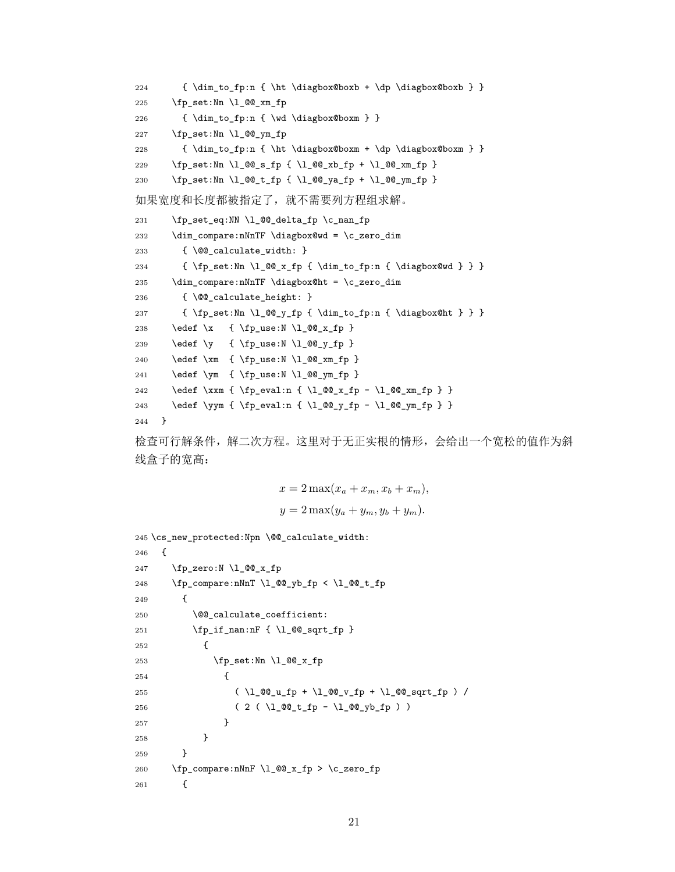```
224 { \dim to fp:n { \ht \diagbox@boxb + \dp \diagbox@boxb } }
225 \fp_set:Nn \l_@@_xm_fp
226 { \dim_to_fp:n { \wd \diagbox@boxm } }
227 \fp_set:Nn \l_@@_ym_fp
228 { \dim_to_fp:n { \ht \diagbox@boxm + \dp \diagbox@boxm } }
229 \fp_set:Nn \l_@@_s_fp { \l_@@_xb_fp + \l_@@_xm_fp }
230 \fp_set:Nn \l_@@_t_fp { \l_@@_ya_fp + \l_@@_ym_fp }
如果宽度和长度都被指定了,就不需要列方程组求解。
231 \fp_set_eq:NN \l_@@_delta_fp \c_nan_fp
232 \dim_compare:nNnTF \diagbox@wd = \c_zero_dim
233 { \@@_calculate_width: }
234 { \{ \fp\_set: Nn \l0@x_fp \{ \dim_to_fp:n \{ \diagbox@wd } \} \}235 \dim_{\text{compare}}:\n\pi\Gamma \dagger \dagger \otimes \n\pi = \c_zero_dim
236 { \@@_calculate_height: }
237 { \{ \pmb{\in} \mathbb{P} \{ \dim_to_fp:n \{ \diagbox@pht} \} \}238 \edef \x { \fp_use:N \l_@@_x_fp }
239 \text{def } \y \{ \fp\_use:N \l@g_yfp \}240 \edef \xm { \fp_use:N \l_@@_xm_fp }
241 \edef \ym { \fp_use:N \l_@@_ym_fp }
242 \edef \xxm { \fp_eval:n { \l_@@_x_fp - \l_@@_xm_fp } }
243 \edef \yym { \fp_eval:n { \l_@@_y_fp - \l_@@_ym_fp } }
244 }
检查可行解条件,解二次方程。这里对于无正实根的情形,会给出一个宽松的值作为斜
线盒子的宽高:
```

```
x = 2 \max(x_a + x_m, x_b + x_m)y = 2 \max(y_a + y_m, y_b + y_m).
```

```
245 \cs_new_protected:Npn \@@_calculate_width:
246 {
247 \fp_zero:N \l_@@_x_fp
248 \fp_compare:nNnT \l_@@_yb_fp < \l_@@_t_fp
249 {
250 \@@_calculate_coefficient:
251 \{ \lceil \cdot \rceil \}252 {
253 \fp_set:Nn \l_@@_x_fp
254 {
255 ( \l_@@_u_fp + \l_@@_v_fp + \l_@@_sqrt_fp ) /
256 ( 2 ( \lceil \frac{00_t}{fp} - \lceil \frac{00_yb_f}{p} ) )257 }
258 }
259 }
260 \fp_compare:nNnF \l_@@_x_fp > \c_zero_fp
261 {
```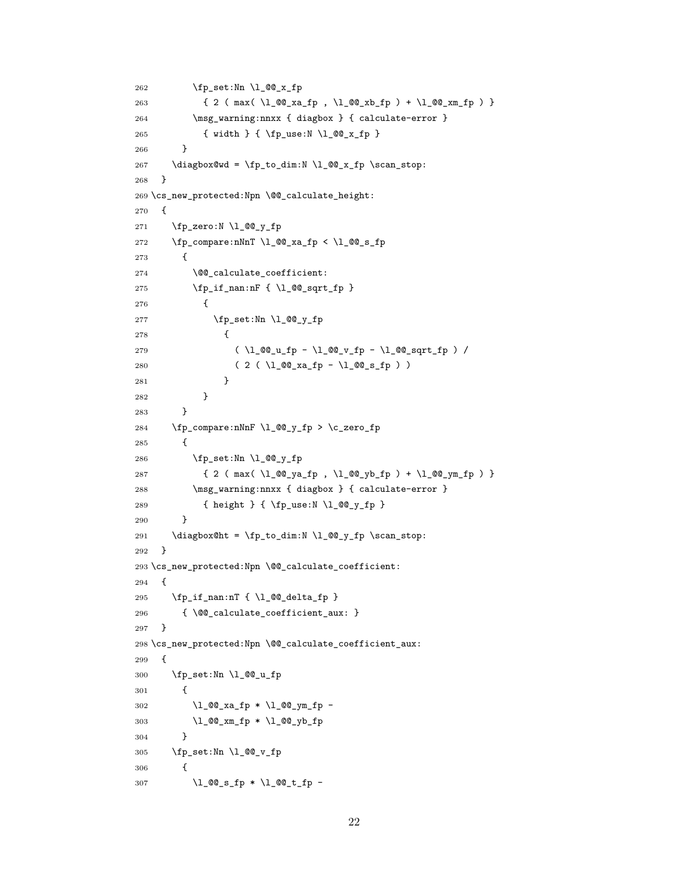```
262 \fp set:Nn \l @Qx fp
263 { 2 ( max( \l_@@_xa_fp , \l_@@_xb_fp ) + \l_@@_xm_fp ) }
264 \msg_warning:nnxx { diagbox } { calculate-error }
265 { width } { \fp_use:N \l_@@_x_fp }
266 }
267 \diagbox@wd = \fp_to_dim:N \l_@@_x_fp \scan_stop:
268 }
269 \cs_new_protected:Npn \@@_calculate_height:
270 {
271 \fp_zero:N \l_@@_y_fp
272 \fp_compare:nNnT \l_@@_xa_fp < \l_@@_s_fp
273 {
274 \@@_calculate_coefficient:
275 \left\{ \lceil \ln n \rceil \right\}276 {
277 \{fp\_set: Nn \ l_@@y_fp278 {
279 (\lceil \lceil \lceil \log_u \rfloor + \lceil \lceil \lceil \log_u \rfloor + \lceil \lceil \log_v \rfloor + \lceil \lceil \log_v \rfloor + \lceil \lceil \log_v \rfloor + \lceil \log_v \rfloor + \lceil \log_v \rfloor + \lceil \log_v \rfloor + \lceil \log_v \rfloor + \lceil \log_v \rfloor + \lceil \log_v \rfloor + \lceil \log_v \rfloor + \lceil \log_v \rfloor + \lceil \log_v \rfloor + \lceil \log_v \rfloor + \lceil \log_v \rfloor + \lceil \log_v \rfloor + \lceil \log_v \rfloor + \lceil \log_v \rfloor + \lceil \log280 ( 2 ( \lceil \lceil \frac{00}{xa} \rfloor f p - \lceil \frac{100}{s} \rfloor f p ) )281 }
282 }
283 }
284 \fp_compare:nNnF \l_@@_y_fp > \c_zero_fp
285 {
286 \fp_set:Nn \l_@@_y_fp
287 { 2 ( max( \l_@@_ya_fp , \l_@@_yb_fp ) + \l_@@_ym_fp ) }
288 \msg_warning:nnxx { diagbox } { calculate-error }
289 { height } { \fp_use:N \l_@@_y_fp }
290 }
291 \diagbox@ht = \fp_to_dim:N \l_@@_y_fp \scan_stop:
292 }
293 \cs_new_protected:Npn \@@_calculate_coefficient:
294 {
295 \left\{ \lceil \log_{delta_f} \rceil \right\}296 { \@@_calculate_coefficient_aux: }
297 }
298 \cs_new_protected:Npn \@@_calculate_coefficient_aux:
299 {
300 \fp_set:Nn \l_@@_u_fp
301 {
302 \l_@@_xa_fp * \l_@@_ym_fp -
303 \l_@@_xm_fp * \l_@@_yb_fp
304 }
305 \fp_set:Nn \l_@@_v_fp
306 {
307 \l_@@_s_fp * \l_@@_t_fp -
```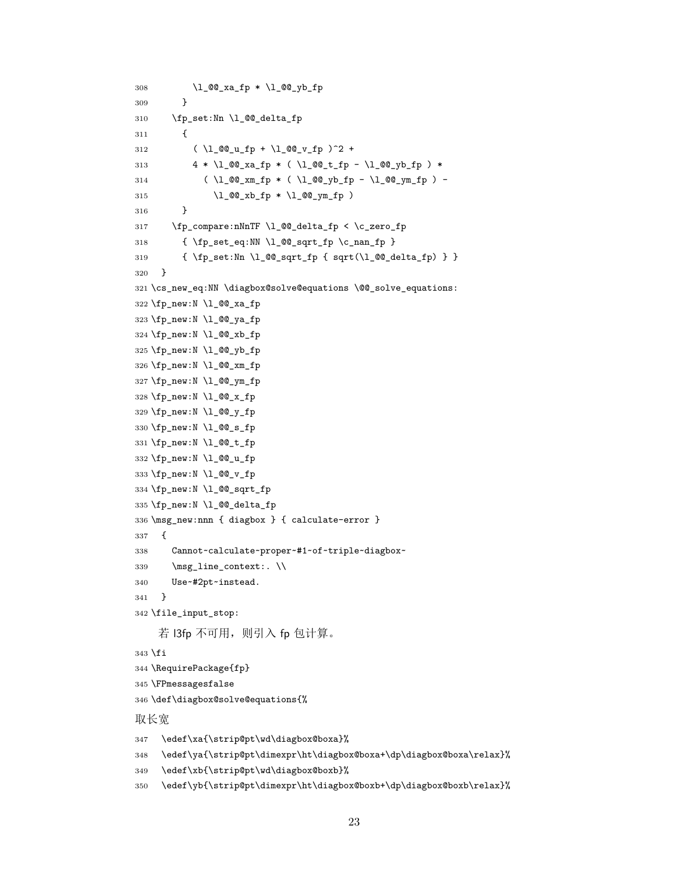```
308 \l @@ xa fp * \l @@ yb fp
309 }
310 \fp_set:Nn \l_@@_delta_fp
311 {
312 (\lceil \lceil \lceil \log_2 n \rfloor f + \lceil \lceil \log_2 v \rfloor f p )^2 +313 4 * \lceil \text{QQ_xa_fp * (\lceil \text{QQ_tfp - \lceil \lceil \text{QQ_yb_fp \rceil}) * \rceil} \rceil }314 ( l_{@\_xm\_fp} * ( l_{@\_yb\_fp - l_{@\_ym\_fp} ) -315 \l_@@_xb_fp * \l_@@_ym_fp )
316 }
317 \fp_compare:nNnTF \l_@@_delta_fp < \c_zero_fp
318 { \fp_set_eq:NN \l_@@_sqrt_fp \c_nan_fp }
319 { \fp_set:Nn \l_@@_sqrt_fp { sqrt(\l_@@_delta_fp) } }
320 }
321 \cs_new_eq:NN \diagbox@solve@equations \@@_solve_equations:
322 \fp_new:N \l_@@_xa_fp
323 \fp_new:N \l_@@_ya_fp
324 \fp_new:N \l_@@_xb_fp
325 \fp_new:N \l_@@_yb_fp
326 \fp_new:N \l_@@_xm_fp
327 \fp_new:N \l_@@_ym_fp
328 \fp_new:N \l_@@_x_fp
329 \fp_new:N \l_@@_y_fp
330 \fp_new:N \l_@@_s_fp
331 \fp_new:N \l_@@_t_fp
332 \fp_new:N \l_@@_u_fp
333 \fp_new:N \l_@@_v_fp
334 \fp_new:N \l_@@_sqrt_fp
335 \fp_new:N \l_@@_delta_fp
336 \msg_new:nnn { diagbox } { calculate-error }
337 {
338 Cannot~calculate~proper~#1~of~triple~diagbox~
339 \msg_line_context:. \\
340 Use~#2pt~instead.
341 }
342 \file_input_stop:
    若 l3fp 不可用, 则引入 fp 包计算。
343 \fi
344 \RequirePackage{fp}
345 \FPmessagesfalse
346 \def\diagbox@solve@equations{%
取长宽
347 \edef\xa{\strip@pt\wd\diagbox@boxa}%
348 \edef\ya{\strip@pt\dimexpr\ht\diagbox@boxa+\dp\diagbox@boxa\relax}%
349 \edef\xb{\strip@pt\wd\diagbox@boxb}%
350 \edef\yb{\strip@pt\dimexpr\ht\diagbox@boxb+\dp\diagbox@boxb\relax}%
```

```
23
```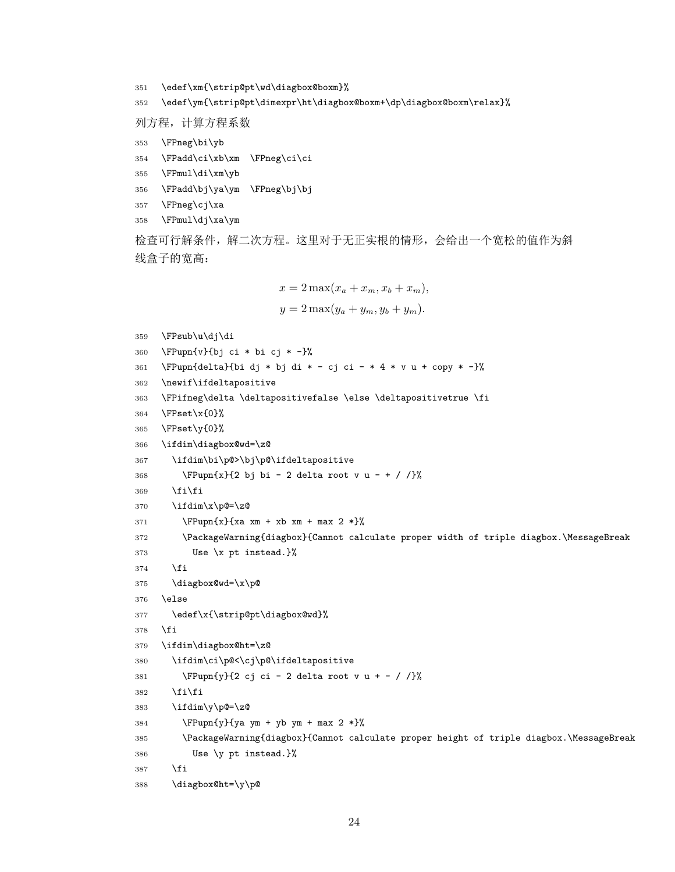- <span id="page-23-9"></span>\edef\xm{\strip@pt\wd\diagbox@boxm}%
- <span id="page-23-10"></span>\edef\ym{\strip@pt\dimexpr\ht\diagbox@boxm+\dp\diagbox@boxm\relax}%

#### 列方程,计算方程系数

- <span id="page-23-0"></span>\FPneg\bi\yb
- <span id="page-23-3"></span>\FPadd\ci\xb\xm \FPneg\ci\ci
- <span id="page-23-7"></span>\FPmul\di\xm\yb
- <span id="page-23-2"></span>\FPadd\bj\ya\ym \FPneg\bj\bj
- <span id="page-23-5"></span>\FPneg\cj\xa
- <span id="page-23-16"></span>\FPmul\dj\xa\ym

检查可行解条件,解二次方程。这里对于无正实根的情形,会给出一个宽松的值作为斜 线盒子的宽高:

$$
x = 2 \max(x_a + x_m, x_b + x_m),
$$
  

$$
y = 2 \max(y_a + y_m, y_b + y_m).
$$

```
359 \FPsub\u\dj\di
360 \FPupn{v}{bj ci * bi cj * -}%
361 \FPupn{delta}{bi dj * bj di * - cj ci - * 4 * v u + copy * -}%
362 \newif\ifdeltapositive
363 \FPifneg\delta \deltapositivefalse \else \deltapositivetrue \fi
364 \FPset\x{0}%
365 \FPset\y{0}%
366 \ifdim\diagbox@wd=\z@
367 \ifdim\bi\p@>\bj\p@\ifdeltapositive
368 \FPupn{x}{2 bj bi - 2 delta root v u - + / /}%
369 \tilde{i}370 \i{ifdim}\x\pe@=\z@371 \FPupn{x}{xa xm + xb xm + max 2 *}%
372 \PackageWarning{diagbox}{Cannot calculate proper width of triple diagbox.\MessageBreak
373 Use \x pt instead.}%
374 \fi
375 \diagbox@wd=\x\p@
376 \else
377 \edef\x{\strip@pt\diagbox@wd}%
378 \fi
379 \ifdim\diagbox@ht=\z@
380 \ifdim\ci\p@<\cj\p@\ifdeltapositive
381 \FPupn{y}{2 cj ci - 2 delta root v u + - / /}%
382 \overrightarrow{fi}383 \ifdim\y\p@=\z@
384 \FPupn{y}{ya ym + yb ym + max 2 *}%
385 \PackageWarning{diagbox}{Cannot calculate proper height of triple diagbox.\MessageBreak
386 Use \y pt instead.}%
387 \fi
388 \diagbox@ht=\y\p@
```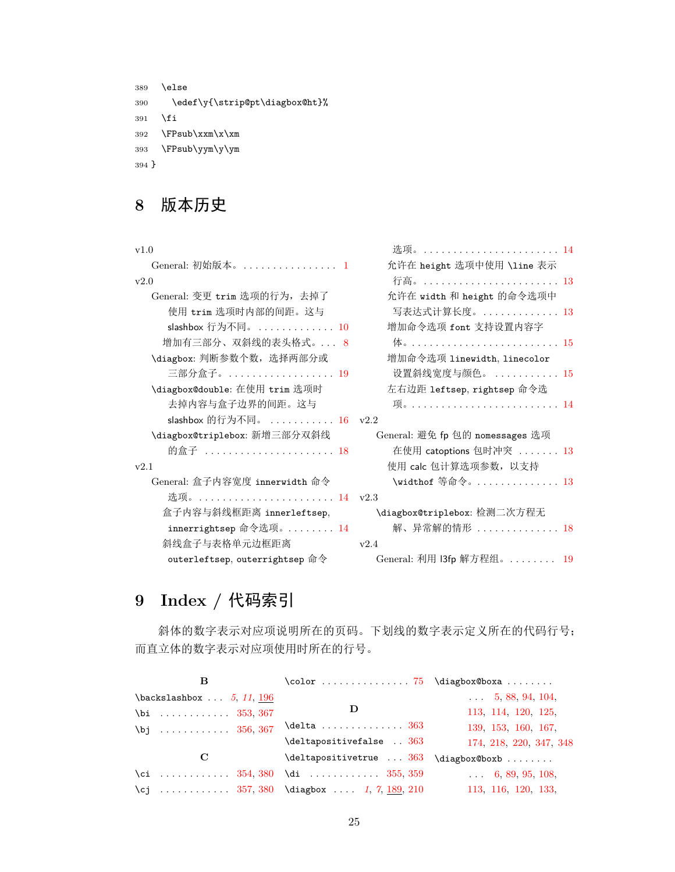```
389 \else
390 \textcolor{blue}{\texttt{string@pt\diagbox@ht}\text{``}}391 \overline{1}392 \FPsub\xxm\x\xm
393 \FPsub\yym\y\ym
394 }
```
## <span id="page-24-2"></span>**8** 版本历史

| v1.0                           |                                 |
|--------------------------------|---------------------------------|
| General: 初始版本。 1               | 允许在 height 选项中使用 \line 表示       |
| v2.0                           | 行高。 13                          |
| General: 变更 trim 选项的行为, 去掉了    | 允许在 width 和 height 的命令选项中       |
| 使用 trim 选项时内部的间距。这与            | 写表达式计算长度。 13                    |
| slashbox 行为不同。 10              | 增加命令选项 font 支持设置内容字             |
| 增加有三部分、双斜线的表头格式。 8             |                                 |
| \diagbox: 判断参数个数, 选择两部分或       | 增加命令选项 linewidth, linecolor     |
| 三部分盒子。 19                      | 设置斜线宽度与颜色。  15                  |
| \diagbox@double: 在使用 trim 选项时  | 左右边距 leftsep, rightsep 命令选      |
| 去掉内容与盒子边界的间距。这与                | 项。 14                           |
| slashbox 的行为不同。  16 v2.2       |                                 |
| \diagbox@triplebox: 新增三部分双斜线   | General: 避免 fp 包的 nomessages 选项 |
| 的盒子  18                        | 在使用 catoptions 包时冲突  13         |
| v2.1                           | 使用 calc 包计算选项参数, 以支持            |
| General: 盒子内容宽度 innerwidth 命令  | \widthof 等命令。 13                |
| 选项。 14 v2.3                    |                                 |
| 盒子内容与斜线框距离 innerleftsep,       | \diagbox@triplebox: 检测二次方程无     |
| innerrightsep 命令选项。 14         | 解、异常解的情形  18                    |
| 斜线盒子与表格单元边框距离                  | v2.4                            |
| outerleftsep, outerrightsep 命令 | General: 利用 I3fp 解方程组。 19       |

## **9 Index /** 代码索引

斜体的数字表示对应项说明所在的页码。下划线的数字表示定义所在的代码行号; 而直立体的数字表示对应项使用时所在的行号。

| в                                     | $\colon \ldots \ldots \ldots \quad \ldots$ 75 \diagbox@boxa |                          |
|---------------------------------------|-------------------------------------------------------------|--------------------------|
| $\backslash$ backslashbox  5, 11, 196 |                                                             | $\ldots$ 5, 88, 94, 104, |
|                                       | - D                                                         | 113, 114, 120, 125,      |
|                                       |                                                             | 139, 153, 160, 167,      |
|                                       | \deltapositivefalse . 363                                   | 174, 218, 220, 347, 348  |
| C                                     |                                                             |                          |
|                                       | \ci $354,380$ \di $355,359$                                 | $\ldots$ 6, 89, 95, 108, |
|                                       | \cj  357, 380 \diagbox  1, 7, 189, 210                      | 113, 116, 120, 133,      |